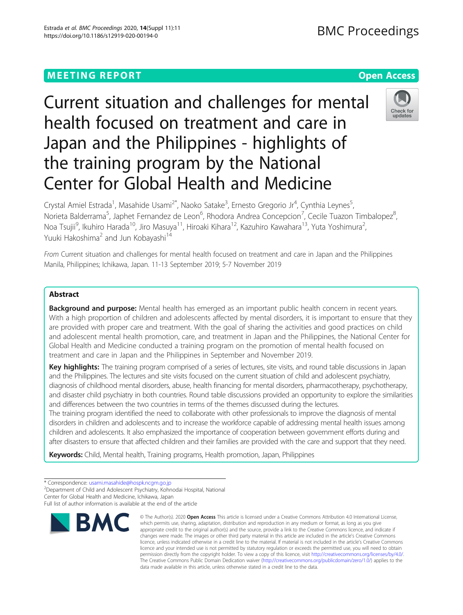## **MEETING REPORT CONTROL** CONTROL CONTROL CONTROL CONTROL CONTROL CONTROL CONTROL CONTROL CONTROL CONTROL CONTROL CONTROL CONTROL CONTROL CONTROL CONTROL CONTROL CONTROL CONTROL CONTROL CONTROL CONTROL CONTROL CONTROL CONTR

# Current situation and challenges for mental health focused on treatment and care in Japan and the Philippines - highlights of the training program by the National Center for Global Health and Medicine



Check for undate

Crystal Amiel Estrada<sup>1</sup>, Masahide Usami<sup>2\*</sup>, Naoko Satake<sup>3</sup>, Ernesto Gregorio Jr<sup>4</sup>, Cynthia Leynes<sup>5</sup> , Norieta Balderrama<sup>5</sup>, Japhet Fernandez de Leon<sup>6</sup>, Rhodora Andrea Concepcion<sup>7</sup>, Cecile Tuazon Timbalopez<sup>8</sup> ;<br>, Noa Tsujii<sup>9</sup>, Ikuhiro Harada<sup>10</sup>, Jiro Masuya<sup>11</sup>, Hiroaki Kihara<sup>12</sup>, Kazuhiro Kawahara<sup>13</sup>, Yuta Yoshimura<sup>2</sup> , Yuuki Hakoshima<sup>2</sup> and Jun Kobayashi<sup>14</sup>

From Current situation and challenges for mental health focused on treatment and care in Japan and the Philippines Manila, Philippines; Ichikawa, Japan. 11-13 September 2019; 5-7 November 2019

## Abstract

Background and purpose: Mental health has emerged as an important public health concern in recent years. With a high proportion of children and adolescents affected by mental disorders, it is important to ensure that they are provided with proper care and treatment. With the goal of sharing the activities and good practices on child and adolescent mental health promotion, care, and treatment in Japan and the Philippines, the National Center for Global Health and Medicine conducted a training program on the promotion of mental health focused on treatment and care in Japan and the Philippines in September and November 2019.

Key highlights: The training program comprised of a series of lectures, site visits, and round table discussions in Japan and the Philippines. The lectures and site visits focused on the current situation of child and adolescent psychiatry, diagnosis of childhood mental disorders, abuse, health financing for mental disorders, pharmacotherapy, psychotherapy, and disaster child psychiatry in both countries. Round table discussions provided an opportunity to explore the similarities and differences between the two countries in terms of the themes discussed during the lectures.

The training program identified the need to collaborate with other professionals to improve the diagnosis of mental disorders in children and adolescents and to increase the workforce capable of addressing mental health issues among children and adolescents. It also emphasized the importance of cooperation between government efforts during and after disasters to ensure that affected children and their families are provided with the care and support that they need.

Keywords: Child, Mental health, Training programs, Health promotion, Japan, Philippines

\* Correspondence: [usami.masahide@hospk.ncgm.go.jp](mailto:usami.masahide@hospk.ncgm.go.jp) <sup>2</sup>

<sup>2</sup>Department of Child and Adolescent Psychiatry, Kohnodai Hospital, National

Center for Global Health and Medicine, Ichikawa, Japan

Full list of author information is available at the end of the article



<sup>©</sup> The Author(s), 2020 **Open Access** This article is licensed under a Creative Commons Attribution 4.0 International License, which permits use, sharing, adaptation, distribution and reproduction in any medium or format, as long as you give appropriate credit to the original author(s) and the source, provide a link to the Creative Commons licence, and indicate if changes were made. The images or other third party material in this article are included in the article's Creative Commons licence, unless indicated otherwise in a credit line to the material. If material is not included in the article's Creative Commons licence and your intended use is not permitted by statutory regulation or exceeds the permitted use, you will need to obtain permission directly from the copyright holder. To view a copy of this licence, visit [http://creativecommons.org/licenses/by/4.0/.](http://creativecommons.org/licenses/by/4.0/) The Creative Commons Public Domain Dedication waiver [\(http://creativecommons.org/publicdomain/zero/1.0/](http://creativecommons.org/publicdomain/zero/1.0/)) applies to the data made available in this article, unless otherwise stated in a credit line to the data.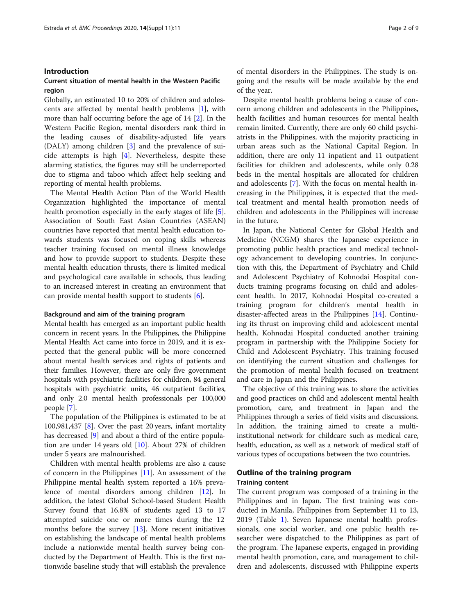## Introduction

## Current situation of mental health in the Western Pacific region

Globally, an estimated 10 to 20% of children and adolescents are affected by mental health problems [[1\]](#page-7-0), with more than half occurring before the age of 14 [\[2](#page-7-0)]. In the Western Pacific Region, mental disorders rank third in the leading causes of disability-adjusted life years (DALY) among children [\[3](#page-7-0)] and the prevalence of suicide attempts is high [\[4](#page-7-0)]. Nevertheless, despite these alarming statistics, the figures may still be underreported due to stigma and taboo which affect help seeking and reporting of mental health problems.

The Mental Health Action Plan of the World Health Organization highlighted the importance of mental health promotion especially in the early stages of life [\[5](#page-7-0)]. Association of South East Asian Countries (ASEAN) countries have reported that mental health education towards students was focused on coping skills whereas teacher training focused on mental illness knowledge and how to provide support to students. Despite these mental health education thrusts, there is limited medical and psychological care available in schools, thus leading to an increased interest in creating an environment that can provide mental health support to students  $[6]$  $[6]$ .

## Background and aim of the training program

Mental health has emerged as an important public health concern in recent years. In the Philippines, the Philippine Mental Health Act came into force in 2019, and it is expected that the general public will be more concerned about mental health services and rights of patients and their families. However, there are only five government hospitals with psychiatric facilities for children, 84 general hospitals with psychiatric units, 46 outpatient facilities, and only 2.0 mental health professionals per 100,000 people [[7\]](#page-7-0).

The population of the Philippines is estimated to be at 100,981,437 [\[8](#page-7-0)]. Over the past 20 years, infant mortality has decreased [\[9](#page-7-0)] and about a third of the entire population are under 14 years old [[10](#page-7-0)]. About 27% of children under 5 years are malnourished.

Children with mental health problems are also a cause of concern in the Philippines [[11](#page-7-0)]. An assessment of the Philippine mental health system reported a 16% prevalence of mental disorders among children [\[12](#page-7-0)]. In addition, the latest Global School-based Student Health Survey found that 16.8% of students aged 13 to 17 attempted suicide one or more times during the 12 months before the survey [\[13](#page-7-0)]. More recent initiatives on establishing the landscape of mental health problems include a nationwide mental health survey being conducted by the Department of Health. This is the first nationwide baseline study that will establish the prevalence of mental disorders in the Philippines. The study is ongoing and the results will be made available by the end of the year.

Despite mental health problems being a cause of concern among children and adolescents in the Philippines, health facilities and human resources for mental health remain limited. Currently, there are only 60 child psychiatrists in the Philippines, with the majority practicing in urban areas such as the National Capital Region. In addition, there are only 11 inpatient and 11 outpatient facilities for children and adolescents, while only 0.28 beds in the mental hospitals are allocated for children and adolescents [[7\]](#page-7-0). With the focus on mental health increasing in the Philippines, it is expected that the medical treatment and mental health promotion needs of children and adolescents in the Philippines will increase in the future.

In Japan, the National Center for Global Health and Medicine (NCGM) shares the Japanese experience in promoting public health practices and medical technology advancement to developing countries. In conjunction with this, the Department of Psychiatry and Child and Adolescent Psychiatry of Kohnodai Hospital conducts training programs focusing on child and adolescent health. In 2017, Kohnodai Hospital co-created a training program for children's mental health in disaster-affected areas in the Philippines [[14\]](#page-7-0). Continuing its thrust on improving child and adolescent mental health, Kohnodai Hospital conducted another training program in partnership with the Philippine Society for Child and Adolescent Psychiatry. This training focused on identifying the current situation and challenges for the promotion of mental health focused on treatment and care in Japan and the Philippines.

The objective of this training was to share the activities and good practices on child and adolescent mental health promotion, care, and treatment in Japan and the Philippines through a series of field visits and discussions. In addition, the training aimed to create a multiinstitutional network for childcare such as medical care, health, education, as well as a network of medical staff of various types of occupations between the two countries.

## Outline of the training program

## Training content

The current program was composed of a training in the Philippines and in Japan. The first training was conducted in Manila, Philippines from September 11 to 13, 2019 (Table [1](#page-2-0)). Seven Japanese mental health professionals, one social worker, and one public health researcher were dispatched to the Philippines as part of the program. The Japanese experts, engaged in providing mental health promotion, care, and management to children and adolescents, discussed with Philippine experts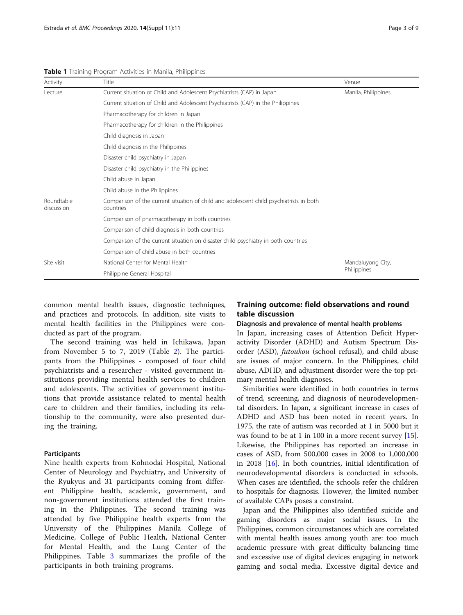<span id="page-2-0"></span>

| Activity                 | Title                                                                                                | Venue               |  |
|--------------------------|------------------------------------------------------------------------------------------------------|---------------------|--|
| Lecture                  | Current situation of Child and Adolescent Psychiatrists (CAP) in Japan                               | Manila, Philippines |  |
|                          | Current situation of Child and Adolescent Psychiatrists (CAP) in the Philippines                     |                     |  |
|                          | Pharmacotherapy for children in Japan                                                                |                     |  |
|                          | Pharmacotherapy for children in the Philippines                                                      |                     |  |
|                          | Child diagnosis in Japan                                                                             |                     |  |
|                          | Child diagnosis in the Philippines                                                                   |                     |  |
|                          | Disaster child psychiatry in Japan                                                                   |                     |  |
|                          | Disaster child psychiatry in the Philippines                                                         |                     |  |
|                          | Child abuse in Japan                                                                                 |                     |  |
|                          | Child abuse in the Philippines                                                                       |                     |  |
| Roundtable<br>discussion | Comparison of the current situation of child and adolescent child psychiatrists in both<br>countries |                     |  |
|                          | Comparison of pharmacotherapy in both countries                                                      |                     |  |
|                          | Comparison of child diagnosis in both countries                                                      |                     |  |
|                          | Comparison of the current situation on disaster child psychiatry in both countries                   |                     |  |
|                          | Comparison of child abuse in both countries                                                          |                     |  |
| Site visit               | National Center for Mental Health                                                                    | Mandaluyong City,   |  |
|                          | Philippine General Hospital                                                                          | Philippines         |  |

common mental health issues, diagnostic techniques, and practices and protocols. In addition, site visits to mental health facilities in the Philippines were conducted as part of the program.

The second training was held in Ichikawa, Japan from November 5 to 7, 2019 (Table [2](#page-3-0)). The participants from the Philippines - composed of four child psychiatrists and a researcher - visited government institutions providing mental health services to children and adolescents. The activities of government institutions that provide assistance related to mental health care to children and their families, including its relationship to the community, were also presented during the training.

## Participants

Nine health experts from Kohnodai Hospital, National Center of Neurology and Psychiatry, and University of the Ryukyus and 31 participants coming from different Philippine health, academic, government, and non-government institutions attended the first training in the Philippines. The second training was attended by five Philippine health experts from the University of the Philippines Manila College of Medicine, College of Public Health, National Center for Mental Health, and the Lung Center of the Philippines. Table [3](#page-3-0) summarizes the profile of the participants in both training programs.

## Training outcome: field observations and round table discussion

## Diagnosis and prevalence of mental health problems

In Japan, increasing cases of Attention Deficit Hyperactivity Disorder (ADHD) and Autism Spectrum Disorder (ASD), futoukou (school refusal), and child abuse are issues of major concern. In the Philippines, child abuse, ADHD, and adjustment disorder were the top primary mental health diagnoses.

Similarities were identified in both countries in terms of trend, screening, and diagnosis of neurodevelopmental disorders. In Japan, a significant increase in cases of ADHD and ASD has been noted in recent years. In 1975, the rate of autism was recorded at 1 in 5000 but it was found to be at 1 in 100 in a more recent survey [\[15](#page-7-0)]. Likewise, the Philippines has reported an increase in cases of ASD, from 500,000 cases in 2008 to 1,000,000 in 2018 [\[16](#page-7-0)]. In both countries, initial identification of neurodevelopmental disorders is conducted in schools. When cases are identified, the schools refer the children to hospitals for diagnosis. However, the limited number of available CAPs poses a constraint.

Japan and the Philippines also identified suicide and gaming disorders as major social issues. In the Philippines, common circumstances which are correlated with mental health issues among youth are: too much academic pressure with great difficulty balancing time and excessive use of digital devices engaging in network gaming and social media. Excessive digital device and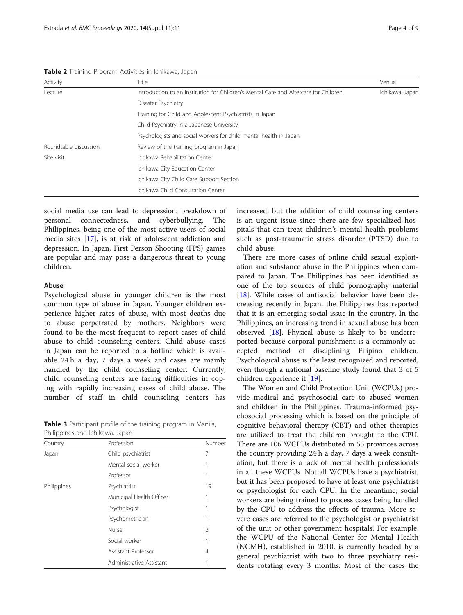<span id="page-3-0"></span>Table 2 Training Program Activities in Ichikawa, Japan

| Activity              | Title                                                                                | Venue           |
|-----------------------|--------------------------------------------------------------------------------------|-----------------|
| Lecture               | Introduction to an Institution for Children's Mental Care and Aftercare for Children | Ichikawa, Japan |
|                       | Disaster Psychiatry                                                                  |                 |
|                       | Training for Child and Adolescent Psychiatrists in Japan                             |                 |
|                       | Child Psychiatry in a Japanese University                                            |                 |
|                       | Psychologists and social workers for child mental health in Japan                    |                 |
| Roundtable discussion | Review of the training program in Japan                                              |                 |
| Site visit            | Ichikawa Rehabilitation Center                                                       |                 |
|                       | Ichikawa City Education Center                                                       |                 |
|                       | Ichikawa City Child Care Support Section                                             |                 |
|                       | Ichikawa Child Consultation Center                                                   |                 |

social media use can lead to depression, breakdown of personal connectedness, and cyberbullying. The Philippines, being one of the most active users of social media sites [\[17](#page-7-0)], is at risk of adolescent addiction and depression. In Japan, First Person Shooting (FPS) games are popular and may pose a dangerous threat to young children.

## Abuse

Psychological abuse in younger children is the most common type of abuse in Japan. Younger children experience higher rates of abuse, with most deaths due to abuse perpetrated by mothers. Neighbors were found to be the most frequent to report cases of child abuse to child counseling centers. Child abuse cases in Japan can be reported to a hotline which is available 24 h a day, 7 days a week and cases are mainly handled by the child counseling center. Currently, child counseling centers are facing difficulties in coping with rapidly increasing cases of child abuse. The number of staff in child counseling centers has

Table 3 Participant profile of the training program in Manila, Philippines and Ichikawa, Japan

| Country     | Profession               | Number         |
|-------------|--------------------------|----------------|
| Japan       | Child psychiatrist       | 7              |
|             | Mental social worker     | 1              |
|             | Professor                | 1              |
| Philippines | Psychiatrist             | 19             |
|             | Municipal Health Officer | 1              |
|             | Psychologist             | 1              |
|             | Psychometrician          | 1              |
|             | Nurse                    | $\mathfrak{D}$ |
|             | Social worker            | 1              |
|             | Assistant Professor      | 4              |
|             | Administrative Assistant | 1              |

increased, but the addition of child counseling centers is an urgent issue since there are few specialized hospitals that can treat children's mental health problems such as post-traumatic stress disorder (PTSD) due to child abuse.

There are more cases of online child sexual exploitation and substance abuse in the Philippines when compared to Japan. The Philippines has been identified as one of the top sources of child pornography material [[18\]](#page-7-0). While cases of antisocial behavior have been decreasing recently in Japan, the Philippines has reported that it is an emerging social issue in the country. In the Philippines, an increasing trend in sexual abuse has been observed [\[18](#page-7-0)]. Physical abuse is likely to be underreported because corporal punishment is a commonly accepted method of disciplining Filipino children. Psychological abuse is the least recognized and reported, even though a national baseline study found that 3 of 5 children experience it [[19](#page-7-0)].

The Women and Child Protection Unit (WCPUs) provide medical and psychosocial care to abused women and children in the Philippines. Trauma-informed psychosocial processing which is based on the principle of cognitive behavioral therapy (CBT) and other therapies are utilized to treat the children brought to the CPU. There are 106 WCPUs distributed in 55 provinces across the country providing 24 h a day, 7 days a week consultation, but there is a lack of mental health professionals in all these WCPUs. Not all WCPUs have a psychiatrist, but it has been proposed to have at least one psychiatrist or psychologist for each CPU. In the meantime, social workers are being trained to process cases being handled by the CPU to address the effects of trauma. More severe cases are referred to the psychologist or psychiatrist of the unit or other government hospitals. For example, the WCPU of the National Center for Mental Health (NCMH), established in 2010, is currently headed by a general psychiatrist with two to three psychiatry residents rotating every 3 months. Most of the cases the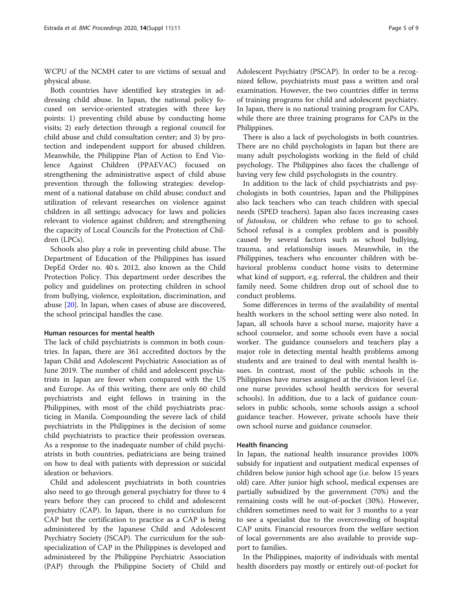WCPU of the NCMH cater to are victims of sexual and physical abuse.

Both countries have identified key strategies in addressing child abuse. In Japan, the national policy focused on service-oriented strategies with three key points: 1) preventing child abuse by conducting home visits; 2) early detection through a regional council for child abuse and child consultation center; and 3) by protection and independent support for abused children. Meanwhile, the Philippine Plan of Action to End Violence Against Children (PPAEVAC) focused on strengthening the administrative aspect of child abuse prevention through the following strategies: development of a national database on child abuse; conduct and utilization of relevant researches on violence against children in all settings; advocacy for laws and policies relevant to violence against children; and strengthening the capacity of Local Councils for the Protection of Children (LPCs).

Schools also play a role in preventing child abuse. The Department of Education of the Philippines has issued DepEd Order no. 40 s. 2012, also known as the Child Protection Policy. This department order describes the policy and guidelines on protecting children in school from bullying, violence, exploitation, discrimination, and abuse [[20\]](#page-8-0). In Japan, when cases of abuse are discovered, the school principal handles the case.

## Human resources for mental health

The lack of child psychiatrists is common in both countries. In Japan, there are 361 accredited doctors by the Japan Child and Adolescent Psychiatric Association as of June 2019. The number of child and adolescent psychiatrists in Japan are fewer when compared with the US and Europe. As of this writing, there are only 60 child psychiatrists and eight fellows in training in the Philippines, with most of the child psychiatrists practicing in Manila. Compounding the severe lack of child psychiatrists in the Philippines is the decision of some child psychiatrists to practice their profession overseas. As a response to the inadequate number of child psychiatrists in both countries, pediatricians are being trained on how to deal with patients with depression or suicidal ideation or behaviors.

Child and adolescent psychiatrists in both countries also need to go through general psychiatry for three to 4 years before they can proceed to child and adolescent psychiatry (CAP). In Japan, there is no curriculum for CAP but the certification to practice as a CAP is being administered by the Japanese Child and Adolescent Psychiatry Society (JSCAP). The curriculum for the subspecialization of CAP in the Philippines is developed and administered by the Philippine Psychiatric Association (PAP) through the Philippine Society of Child and Adolescent Psychiatry (PSCAP). In order to be a recognized fellow, psychiatrists must pass a written and oral examination. However, the two countries differ in terms of training programs for child and adolescent psychiatry. In Japan, there is no national training program for CAPs, while there are three training programs for CAPs in the Philippines.

There is also a lack of psychologists in both countries. There are no child psychologists in Japan but there are many adult psychologists working in the field of child psychology. The Philippines also faces the challenge of having very few child psychologists in the country.

In addition to the lack of child psychiatrists and psychologists in both countries, Japan and the Philippines also lack teachers who can teach children with special needs (SPED teachers). Japan also faces increasing cases of futoukou, or children who refuse to go to school. School refusal is a complex problem and is possibly caused by several factors such as school bullying, trauma, and relationship issues. Meanwhile, in the Philippines, teachers who encounter children with behavioral problems conduct home visits to determine what kind of support, e.g. referral, the children and their family need. Some children drop out of school due to conduct problems.

Some differences in terms of the availability of mental health workers in the school setting were also noted. In Japan, all schools have a school nurse, majority have a school counselor, and some schools even have a social worker. The guidance counselors and teachers play a major role in detecting mental health problems among students and are trained to deal with mental health issues. In contrast, most of the public schools in the Philippines have nurses assigned at the division level (i.e. one nurse provides school health services for several schools). In addition, due to a lack of guidance counselors in public schools, some schools assign a school guidance teacher. However, private schools have their own school nurse and guidance counselor.

## Health financing

In Japan, the national health insurance provides 100% subsidy for inpatient and outpatient medical expenses of children below junior high school age (i.e. below 15 years old) care. After junior high school, medical expenses are partially subsidized by the government (70%) and the remaining costs will be out-of-pocket (30%). However, children sometimes need to wait for 3 months to a year to see a specialist due to the overcrowding of hospital CAP units. Financial resources from the welfare section of local governments are also available to provide support to families.

In the Philippines, majority of individuals with mental health disorders pay mostly or entirely out-of-pocket for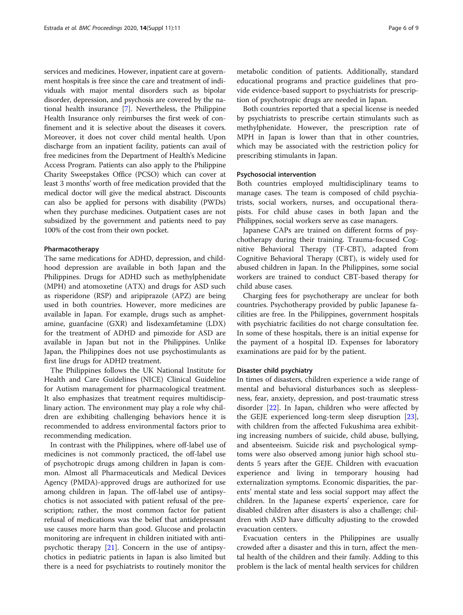services and medicines. However, inpatient care at government hospitals is free since the care and treatment of individuals with major mental disorders such as bipolar disorder, depression, and psychosis are covered by the national health insurance [\[7\]](#page-7-0). Nevertheless, the Philippine Health Insurance only reimburses the first week of confinement and it is selective about the diseases it covers. Moreover, it does not cover child mental health. Upon discharge from an inpatient facility, patients can avail of free medicines from the Department of Health's Medicine Access Program. Patients can also apply to the Philippine Charity Sweepstakes Office (PCSO) which can cover at least 3 months' worth of free medication provided that the medical doctor will give the medical abstract. Discounts can also be applied for persons with disability (PWDs) when they purchase medicines. Outpatient cases are not subsidized by the government and patients need to pay 100% of the cost from their own pocket.

## Pharmacotherapy

The same medications for ADHD, depression, and childhood depression are available in both Japan and the Philippines. Drugs for ADHD such as methylphenidate (MPH) and atomoxetine (ATX) and drugs for ASD such as risperidone (RSP) and aripiprazole (APZ) are being used in both countries. However, more medicines are available in Japan. For example, drugs such as amphetamine, guanfacine (GXR) and lisdexamfetamine (LDX) for the treatment of ADHD and pimozide for ASD are available in Japan but not in the Philippines. Unlike Japan, the Philippines does not use psychostimulants as first line drugs for ADHD treatment.

The Philippines follows the UK National Institute for Health and Care Guidelines (NICE) Clinical Guideline for Autism management for pharmacological treatment. It also emphasizes that treatment requires multidisciplinary action. The environment may play a role why children are exhibiting challenging behaviors hence it is recommended to address environmental factors prior to recommending medication.

In contrast with the Philippines, where off-label use of medicines is not commonly practiced, the off-label use of psychotropic drugs among children in Japan is common. Almost all Pharmaceuticals and Medical Devices Agency (PMDA)-approved drugs are authorized for use among children in Japan. The off-label use of antipsychotics is not associated with patient refusal of the prescription; rather, the most common factor for patient refusal of medications was the belief that antidepressant use causes more harm than good. Glucose and prolactin monitoring are infrequent in children initiated with antipsychotic therapy [[21\]](#page-8-0). Concern in the use of antipsychotics in pediatric patients in Japan is also limited but there is a need for psychiatrists to routinely monitor the metabolic condition of patients. Additionally, standard educational programs and practice guidelines that provide evidence-based support to psychiatrists for prescription of psychotropic drugs are needed in Japan.

Both countries reported that a special license is needed by psychiatrists to prescribe certain stimulants such as methylphenidate. However, the prescription rate of MPH in Japan is lower than that in other countries, which may be associated with the restriction policy for prescribing stimulants in Japan.

## Psychosocial intervention

Both countries employed multidisciplinary teams to manage cases. The team is composed of child psychiatrists, social workers, nurses, and occupational therapists. For child abuse cases in both Japan and the Philippines, social workers serve as case managers.

Japanese CAPs are trained on different forms of psychotherapy during their training. Trauma-focused Cognitive Behavioral Therapy (TF-CBT), adapted from Cognitive Behavioral Therapy (CBT), is widely used for abused children in Japan. In the Philippines, some social workers are trained to conduct CBT-based therapy for child abuse cases.

Charging fees for psychotherapy are unclear for both countries. Psychotherapy provided by public Japanese facilities are free. In the Philippines, government hospitals with psychiatric facilities do not charge consultation fee. In some of these hospitals, there is an initial expense for the payment of a hospital ID. Expenses for laboratory examinations are paid for by the patient.

## Disaster child psychiatry

In times of disasters, children experience a wide range of mental and behavioral disturbances such as sleeplessness, fear, anxiety, depression, and post-traumatic stress disorder [\[22](#page-8-0)]. In Japan, children who were affected by the GEJE experienced long-term sleep disruption [\[23](#page-8-0)], with children from the affected Fukushima area exhibiting increasing numbers of suicide, child abuse, bullying, and absenteeism. Suicide risk and psychological symptoms were also observed among junior high school students 5 years after the GEJE. Children with evacuation experience and living in temporary housing had externalization symptoms. Economic disparities, the parents' mental state and less social support may affect the children. In the Japanese experts' experience, care for disabled children after disasters is also a challenge; children with ASD have difficulty adjusting to the crowded evacuation centers.

Evacuation centers in the Philippines are usually crowded after a disaster and this in turn, affect the mental health of the children and their family. Adding to this problem is the lack of mental health services for children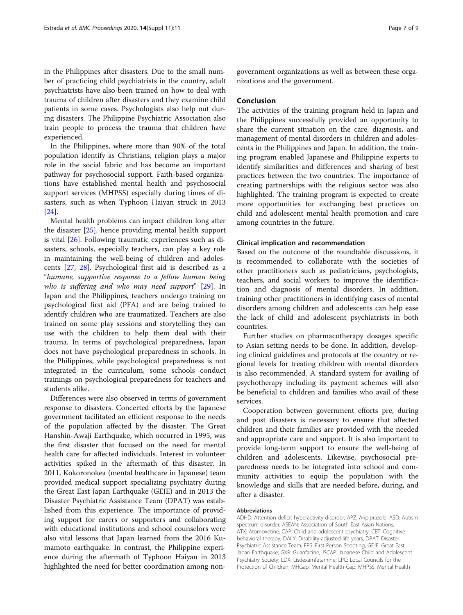in the Philippines after disasters. Due to the small number of practicing child psychiatrists in the country, adult psychiatrists have also been trained on how to deal with trauma of children after disasters and they examine child patients in some cases. Psychologists also help out during disasters. The Philippine Psychiatric Association also train people to process the trauma that children have experienced.

In the Philippines, where more than 90% of the total population identify as Christians, religion plays a major role in the social fabric and has become an important pathway for psychosocial support. Faith-based organizations have established mental health and psychosocial support services (MHPSS) especially during times of disasters, such as when Typhoon Haiyan struck in 2013 [[24\]](#page-8-0).

Mental health problems can impact children long after the disaster [[25](#page-8-0)], hence providing mental health support is vital [\[26\]](#page-8-0). Following traumatic experiences such as disasters, schools, especially teachers, can play a key role in maintaining the well-being of children and adolescents [[27](#page-8-0), [28](#page-8-0)]. Psychological first aid is described as a "humane, supportive response to a fellow human being who is suffering and who may need support" [\[29](#page-8-0)]. In Japan and the Philippines, teachers undergo training on psychological first aid (PFA) and are being trained to identify children who are traumatized. Teachers are also trained on some play sessions and storytelling they can use with the children to help them deal with their trauma. In terms of psychological preparedness, Japan does not have psychological preparedness in schools. In the Philippines, while psychological preparedness is not integrated in the curriculum, some schools conduct trainings on psychological preparedness for teachers and students alike.

Differences were also observed in terms of government response to disasters. Concerted efforts by the Japanese government facilitated an efficient response to the needs of the population affected by the disaster. The Great Hanshin-Awaji Earthquake, which occurred in 1995, was the first disaster that focused on the need for mental health care for affected individuals. Interest in volunteer activities spiked in the aftermath of this disaster. In 2011, Kokoronokea (mental healthcare in Japanese) team provided medical support specializing psychiatry during the Great East Japan Earthquake (GEJE) and in 2013 the Disaster Psychiatric Assistance Team (DPAT) was established from this experience. The importance of providing support for carers or supporters and collaborating with educational institutions and school counselors were also vital lessons that Japan learned from the 2016 Kumamoto earthquake. In contrast, the Philippine experience during the aftermath of Typhoon Haiyan in 2013 highlighted the need for better coordination among non-

government organizations as well as between these organizations and the government.

## Conclusion

The activities of the training program held in Japan and the Philippines successfully provided an opportunity to share the current situation on the care, diagnosis, and management of mental disorders in children and adolescents in the Philippines and Japan. In addition, the training program enabled Japanese and Philippine experts to identify similarities and differences and sharing of best practices between the two countries. The importance of creating partnerships with the religious sector was also highlighted. The training program is expected to create more opportunities for exchanging best practices on child and adolescent mental health promotion and care among countries in the future.

## Clinical implication and recommendation

Based on the outcome of the roundtable discussions, it is recommended to collaborate with the societies of other practitioners such as pediatricians, psychologists, teachers, and social workers to improve the identification and diagnosis of mental disorders. In addition, training other practitioners in identifying cases of mental disorders among children and adolescents can help ease the lack of child and adolescent psychiatrists in both countries.

Further studies on pharmacotherapy dosages specific to Asian setting needs to be done. In addition, developing clinical guidelines and protocols at the country or regional levels for treating children with mental disorders is also recommended. A standard system for availing of psychotherapy including its payment schemes will also be beneficial to children and families who avail of these services.

Cooperation between government efforts pre, during and post disasters is necessary to ensure that affected children and their families are provided with the needed and appropriate care and support. It is also important to provide long-term support to ensure the well-being of children and adolescents. Likewise, psychosocial preparedness needs to be integrated into school and community activities to equip the population with the knowledge and skills that are needed before, during, and after a disaster.

## Abbreviations

ADHD: Attention deficit hyperactivity disorder; APZ: Aripiprazole; ASD: Autism spectrum disorder; ASEAN: Association of South East Asian Nations; ATX: Atomoxetine; CAP: Child and adolescent psychiatry; CBT: Cognitive behavioral therapy; DALY: Disability-adjusted life years; DPAT: Disaster Psychiatric Assistance Team; FPS: First Person Shooting; GEJE: Great East Japan Earthquake; GXR: Guanfacine; JSCAP: Japanese Child and Adolescent Psychiatry Society; LDX: Lisdexamfetamine; LPC: Local Councils for the Protection of Children; MHGap: Mental Health Gap; MHPSS: Mental Health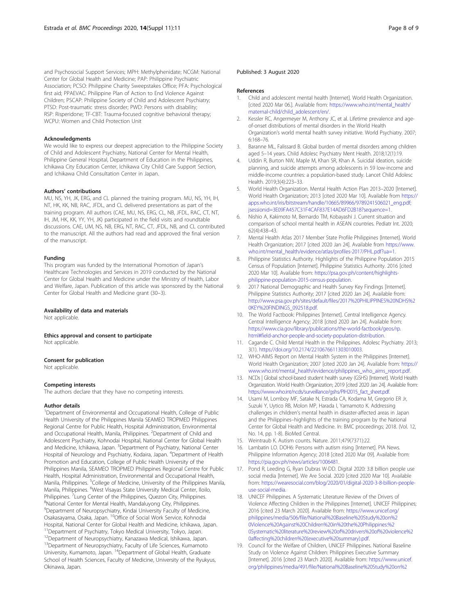<span id="page-7-0"></span>and Psychosocial Support Services; MPH: Methylphenidate; NCGM: National Center for Global Health and Medicine; PAP: Philippine Psychiatric Association; PCSO: Philippine Charity Sweepstakes Office; PFA: Psychological first aid; PPAEVAC: Philippine Plan of Action to End Violence Against Children; PSCAP: Philippine Society of Child and Adolescent Psychiatry; PTSD: Post-traumatic stress disorder; PWD: Persons with disability; RSP: Risperidone; TF-CBT: Trauma-focused cognitive behavioral therapy; WCPU: Women and Child Protection Unit

#### Acknowledgments

We would like to express our deepest appreciation to the Philippine Society of Child and Adolescent Psychiatry, National Center for Mental Health, Philippine General Hospital, Department of Education in the Philippines, Ichikawa City Education Center, Ichikawa City Child Care Support Section, and Ichikawa Child Consultation Center in Japan.

### Authors' contributions

MU, NS, YH, JK, ERG, and CL planned the training program. MU, NS, YH, IH, NT, HK, KK, NB, RAC, JFDL, and CL delivered presentations as part of the training program. All authors (CAE, MU, NS, ERG, CL, NB, JFDL, RAC, CT, NT, IH, JM, HK, KK, YY, YH, JK) participated in the field visits and roundtable discussions. CAE, UM, NS, NB, ERG, NT, RAC, CT, JFDL, NB, and CL contributed to the manuscript. All the authors had read and approved the final version of the manuscript.

#### Funding

This program was funded by the International Promotion of Japan's Healthcare Technologies and Services in 2019 conducted by the National Center for Global Health and Medicine under the Ministry of Health, Labor and Welfare, Japan. Publication of this article was sponsored by the National Center for Global Health and Medicine grant (30–3).

#### Availability of data and materials

Not applicable.

Ethics approval and consent to participate Not applicable.

#### Consent for publication

Not applicable.

#### Competing interests

The authors declare that they have no competing interests.

#### Author details

<sup>1</sup>Department of Environmental and Occupational Health, College of Public Health University of the Philippines Manila SEAMEO TROPMED Philippines Regional Centre for Public Health, Hospital Administration, Environmental and Occupational Health, Manila, Philippines. <sup>2</sup>Department of Child and Adolescent Psychiatry, Kohnodai Hospital, National Center for Global Health and Medicine, Ichikawa, Japan. <sup>3</sup>Department of Psychiatry, National Center Hospital of Neurology and Psychiatry, Kodaira, Japan. <sup>4</sup>Department of Health Promotion and Education, College of Public Health University of the Philippines Manila, SEAMEO TROPMED Philippines Regional Centre for Public Health, Hospital Administration, Environmental and Occupational Health, Manila, Philippines. <sup>5</sup>College of Medicine, University of the Philippines Manila, Manila, Philippines. <sup>6</sup>West Visayas State University Medical Center, Iloilo, Philippines. <sup>7</sup> Lung Center of the Philippines, Quezon City, Philippines.<br><sup>8</sup>National Conter for Mental Health, Mandaluyong City, Philippines. <sup>8</sup>National Center for Mental Health, Mandaluyong City, Philippines. 9 Department of Neuropsychiatry, Kindai University Faculty of Medicine, Osakasayama, Osaka, Japan. 10Office of Social Work Service, Kohnodai Hospital, National Center for Global Health and Medicine, Ichikawa, Japan. 'Department of Psychiatry, Tokyo Medical University, Tokyo, Japan. 12Department of Neuropsychiatry, Kanazawa Medical, Ishikawa, Japan. <sup>13</sup>Department of Neuropsychiatry, Faculty of Life Sciences, Kumamoto University, Kumamoto, Japan. 14Department of Global Health, Graduate School of Health Sciences, Faculty of Medicine, University of the Ryukyus, Okinawa, Japan.

#### Published: 3 August 2020

## References

- 1. Child and adolescent mental health [Internet]. World Health Organization. [cited 2020 Mar 06.]. Available from: [https://www.who.int/mental\\_health/](https://www.who.int/mental_health/maternal-child/child_adolescent/en/) [maternal-child/child\\_adolescent/en/](https://www.who.int/mental_health/maternal-child/child_adolescent/en/).
- 2. Kessler RC, Angermeyer M, Anthony JC, et al. Lifetime prevalence and ageof-onset distributions of mental disorders in the World Health Organization's world mental health survey initiative. World Psychiatry. 2007; 6:168–76.
- 3. Baranne ML, Falissard B. Global burden of mental disorders among children aged 5–14 years. Child Adolesc Psychiatry Ment Health. 2018;12(1):19.
- 4. Uddin R, Burton NW, Maple M, Khan SR, Khan A. Suicidal ideation, suicide planning, and suicide attempts among adolescents in 59 low-income and middle-income countries: a population-based study. Lancet Child Adolesc Health. 2019;3(4):223–33.
- 5. World Health Organization. Mental Health Action Plan 2013–2020 [Internet]. World Health Organization; 2013 [cited 2020 Mar 10]. Available from [https://](https://apps.who.int/iris/bitstream/handle/10665/89966/9789241506021_eng.pdf;jsessionid=3E09FA457C31F4CAF837E14AD6FD2B18?sequence=1) [apps.who.int/iris/bitstream/handle/10665/89966/9789241506021\\_eng.pdf;](https://apps.who.int/iris/bitstream/handle/10665/89966/9789241506021_eng.pdf;jsessionid=3E09FA457C31F4CAF837E14AD6FD2B18?sequence=1) [jsessionid=3E09FA457C31F4CAF837E14AD6FD2B18?sequence=1.](https://apps.who.int/iris/bitstream/handle/10665/89966/9789241506021_eng.pdf;jsessionid=3E09FA457C31F4CAF837E14AD6FD2B18?sequence=1)
- 6. Nishio A, Kakimoto M, Bernardo TM, Kobayashi J. Current situation and comparison of school mental health in ASEAN countries. Pediatr Int. 2020; 62(4):438–43.
- 7. Mental Health Atlas 2017 Member State Profile Philippines [Internet]. World Health Organization; 2017 [cited 2020 Jan 24]. Available from [https://www.](https://www.who.int/mental_health/evidence/atlas/profiles-2017/PHL.pdf?ua=1) [who.int/mental\\_health/evidence/atlas/profiles-2017/PHL.pdf?ua=1](https://www.who.int/mental_health/evidence/atlas/profiles-2017/PHL.pdf?ua=1).
- 8. Philippine Statistics Authority. Highlights of the Philippine Population 2015 Census of Population [Internet]. Philippine Statistics Authority. 2016 [cited 2020 Mar 10]. Available from: [https://psa.gov.ph/content/highlights](https://psa.gov.ph/content/highlights-philippine-population-2015-census-population)[philippine-population-2015-census-population.](https://psa.gov.ph/content/highlights-philippine-population-2015-census-population)
- 9. 2017 National Demographic and Health Survey Key Findings [Internet]. Philippine Statistics Authority; 2017 [cited 2020 Jan 24]. Available from: [http://www.psa.gov.ph/sites/default/files/2017%20PHILIPPINES%20NDHS%2](http://www.psa.gov.ph/sites/default/files/2017%20PHILIPPINES%20NDHS%20KEY%20FINDINGS_092518.pdf) [0KEY%20FINDINGS\\_092518.pdf.](http://www.psa.gov.ph/sites/default/files/2017%20PHILIPPINES%20NDHS%20KEY%20FINDINGS_092518.pdf)
- 10. The World Factbook: Philippines [Internet]. Central Intelligence Agency. Central Intelligence Agency; 2018 [cited 2020 Jan 24]. Available from: [https://www.cia.gov/library/publications/the-world-factbook/geos/rp.](https://www.cia.gov/library/publications/the-world-factbook/geos/rp.html#field-anchor-people-and-society-population-distribution) [html#field-anchor-people-and-society-population-distribution](https://www.cia.gov/library/publications/the-world-factbook/geos/rp.html#field-anchor-people-and-society-population-distribution).
- 11. Cagande C. Child Mental Health in the Philippines. Adolesc Psychiatry. 2013; 3(1). [https://doi.org/10.2174/2210676611303010003.](https://doi.org/10.2174/2210676611303010003)
- 12. WHO-AIMS Report on Mental Health System in the Philippines [Internet]. World Health Organization; 2007 [cited 2020 Jan 24]. Available from: [https://](https://www.who.int/mental_health/evidence/philippines_who_aims_report.pdf) [www.who.int/mental\\_health/evidence/philippines\\_who\\_aims\\_report.pdf](https://www.who.int/mental_health/evidence/philippines_who_aims_report.pdf).
- 13. NCDs | Global school-based student health survey (GSHS) [Internet]. World Health Organization. World Health Organization; 2019 [cited 2020 Jan 24]. Available from: [https://www.who.int/ncds/surveillance/gshs/PIH2015\\_fact\\_sheet.pdf.](https://www.who.int/ncds/surveillance/gshs/PIH2015_fact_sheet.pdf)
- 14. Usami M, Lomboy MF, Satake N, Estrada CA, Kodama M, Gregorio ER Jr, Suzuki Y, Uytico RB, Molon MP, Harada I, Yamamoto K. Addressing challenges in children's mental health in disaster-affected areas in Japan and the Philippines–highlights of the training program by the National Center for Global Health and Medicine. In: BMC proceedings; 2018. (Vol. 12, No. 14, pp. 1-8). BioMed Central.
- 15. Weintraub K. Autism counts. Nature. 2011;479(7371):22.
- 16. Lambatin LO. DOH6: Persons with autism rising [Internet]. PIA News. Philippine Information Agency; 2018 [cited 2020 Mar 09]. Available from: <https://pia.gov.ph/news/articles/1006481>.
- 17. Pond R, Leeding G, Ryan Dubras W-DD. Digital 2020: 3.8 billion people use social media [Internet]. We Are Social. 2020 [cited 2020 Mar 10]. Available from: [https://wearesocial.com/blog/2020/01/digital-2020-3-8-billion-people](https://wearesocial.com/blog/2020/01/digital-2020-3-8-billion-people-use-social-media)[use-social-media.](https://wearesocial.com/blog/2020/01/digital-2020-3-8-billion-people-use-social-media)
- 18. UNICEF Philippines. A Systematic Literature Review of the Drivers of Violence Affecting Children in the Philippines [Internet]. UNICEF Philippines; 2016 [cited 23 March 2020]. Available from: [https://www.unicef.org/](https://www.unicef.org/philippines/media/506/file/National%20Baseline%20Study%20on%20Violence%20Against%20Children%20in%20the%20Philippines:%20Systematic%20literature%20review%20of%20drivers%20of%20violence%20affecting%20children%20(executive%20summary).pdf) [philippines/media/506/file/National%20Baseline%20Study%20on%2](https://www.unicef.org/philippines/media/506/file/National%20Baseline%20Study%20on%20Violence%20Against%20Children%20in%20the%20Philippines:%20Systematic%20literature%20review%20of%20drivers%20of%20violence%20affecting%20children%20(executive%20summary).pdf) [0Violence%20Against%20Children%20in%20the%20Philippines:%2](https://www.unicef.org/philippines/media/506/file/National%20Baseline%20Study%20on%20Violence%20Against%20Children%20in%20the%20Philippines:%20Systematic%20literature%20review%20of%20drivers%20of%20violence%20affecting%20children%20(executive%20summary).pdf) [0Systematic%20literature%20review%20of%20drivers%20of%20violence%2](https://www.unicef.org/philippines/media/506/file/National%20Baseline%20Study%20on%20Violence%20Against%20Children%20in%20the%20Philippines:%20Systematic%20literature%20review%20of%20drivers%20of%20violence%20affecting%20children%20(executive%20summary).pdf) [0affecting%20children%20\(executive%20summary\).pdf.](https://www.unicef.org/philippines/media/506/file/National%20Baseline%20Study%20on%20Violence%20Against%20Children%20in%20the%20Philippines:%20Systematic%20literature%20review%20of%20drivers%20of%20violence%20affecting%20children%20(executive%20summary).pdf)
- 19. Council for the Welfare of Children, UNICEF Philippines. National Baseline Study on Violence Against Children: Philippines Executive Summary [Internet]. 2016 [cited 23 March 2020]. Available from: [https://www.unicef.](https://www.unicef.org/philippines/media/491/file/National%20Baseline%20Study%20on%20Violence%20Against%20Children%20in%20the%20Philippines:%20Results%20(executive%20summary).pdf) [org/philippines/media/491/file/National%20Baseline%20Study%20on%2](https://www.unicef.org/philippines/media/491/file/National%20Baseline%20Study%20on%20Violence%20Against%20Children%20in%20the%20Philippines:%20Results%20(executive%20summary).pdf)